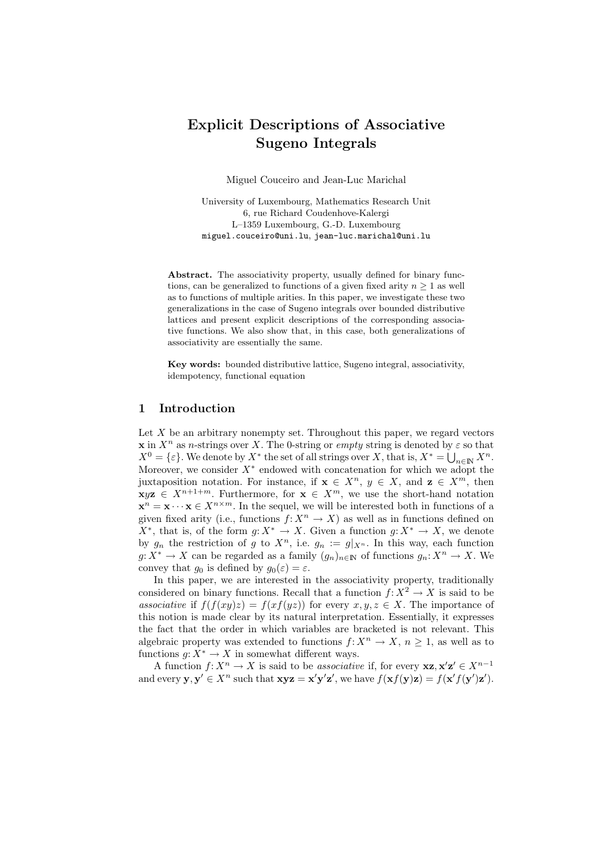# Explicit Descriptions of Associative Sugeno Integrals

Miguel Couceiro and Jean-Luc Marichal

University of Luxembourg, Mathematics Research Unit 6, rue Richard Coudenhove-Kalergi L–1359 Luxembourg, G.-D. Luxembourg miguel.couceiro@uni.lu, jean-luc.marichal@uni.lu

Abstract. The associativity property, usually defined for binary functions, can be generalized to functions of a given fixed arity  $n \geq 1$  as well as to functions of multiple arities. In this paper, we investigate these two generalizations in the case of Sugeno integrals over bounded distributive lattices and present explicit descriptions of the corresponding associative functions. We also show that, in this case, both generalizations of associativity are essentially the same.

Key words: bounded distributive lattice, Sugeno integral, associativity, idempotency, functional equation

# 1 Introduction

Let  $X$  be an arbitrary nonempty set. Throughout this paper, we regard vectors x in  $X^n$  as n-strings over X. The 0-string or empty string is denoted by  $\varepsilon$  so that  $X^0 = \{\varepsilon\}$ . We denote by  $X^*$  the set of all strings over X, that is,  $X^* = \bigcup_{n \in \mathbb{N}} X^n$ . Moreover, we consider  $X^*$  endowed with concatenation for which we adopt the juxtaposition notation. For instance, if  $x \in X^n$ ,  $y \in X$ , and  $z \in X^m$ , then  $\mathbf{x} \in \mathbf{X}^{n+1+m}$ . Furthermore, for  $\mathbf{x} \in \mathbf{X}^m$ , we use the short-hand notation  $\mathbf{x}^n = \mathbf{x} \cdots \mathbf{x} \in X^{n \times m}$ . In the sequel, we will be interested both in functions of a given fixed arity (i.e., functions  $f: X^n \to X$ ) as well as in functions defined on  $X^*$ , that is, of the form  $g: X^* \to X$ . Given a function  $g: X^* \to X$ , we denote by  $g_n$  the restriction of g to  $X^n$ , i.e.  $g_n := g|_{X^n}$ . In this way, each function  $g: X^* \to X$  can be regarded as a family  $(g_n)_{n \in \mathbb{N}}$  of functions  $g_n: X^n \to X$ . We convey that  $g_0$  is defined by  $g_0(\varepsilon) = \varepsilon$ .

In this paper, we are interested in the associativity property, traditionally considered on binary functions. Recall that a function  $f: X^2 \to X$  is said to be associative if  $f(f(xy)z) = f(xf(yz))$  for every  $x, y, z \in X$ . The importance of this notion is made clear by its natural interpretation. Essentially, it expresses the fact that the order in which variables are bracketed is not relevant. This algebraic property was extended to functions  $f: X^n \to X$ ,  $n \geq 1$ , as well as to functions  $q: X^* \to X$  in somewhat different ways.

A function  $f: X^n \to X$  is said to be associative if, for every  $xz, x'z' \in X^{n-1}$ and every  $\mathbf{y}, \mathbf{y}' \in X^n$  such that  $\mathbf{xyz} = \mathbf{x}'\mathbf{y}'\mathbf{z}'$ , we have  $f(\mathbf{x}f(\mathbf{y})\mathbf{z}) = f(\mathbf{x}'f(\mathbf{y}')\mathbf{z}')$ .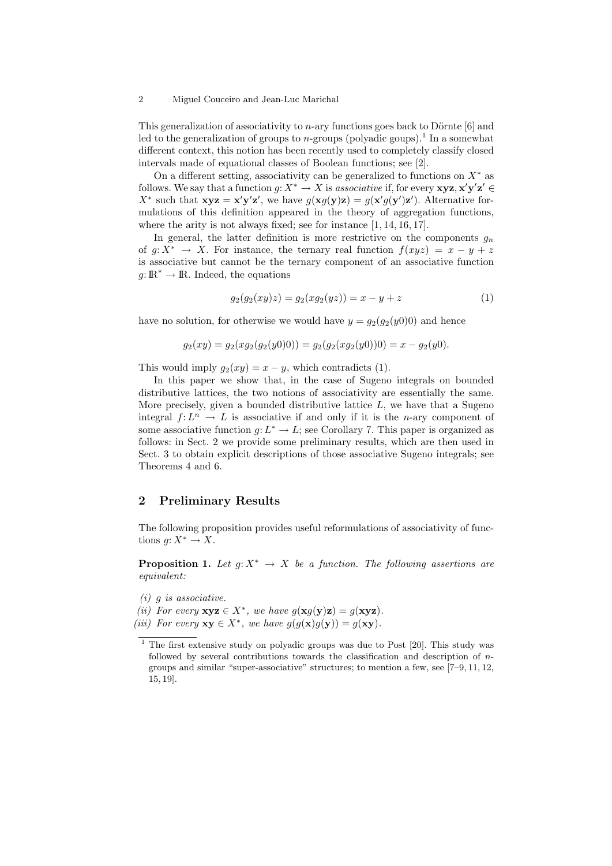#### 2 Miguel Couceiro and Jean-Luc Marichal

This generalization of associativity to  $n$ -ary functions goes back to Dörnte [6] and led to the generalization of groups to *n*-groups (polyadic goups).<sup>1</sup> In a somewhat different context, this notion has been recently used to completely classify closed intervals made of equational classes of Boolean functions; see [2].

On a different setting, associativity can be generalized to functions on  $X^*$  as follows. We say that a function  $g: X^* \to X$  is associative if, for every  $xyz, x'y'z' \in X$  $X^*$  such that  $xyz = x'y'z'$ , we have  $g(xg(y)z) = g(x'g(y')z')$ . Alternative formulations of this definition appeared in the theory of aggregation functions, where the arity is not always fixed; see for instance  $[1, 14, 16, 17]$ .

In general, the latter definition is more restrictive on the components  $g_n$ of  $q: X^* \to X$ . For instance, the ternary real function  $f(xyz) = x - y + z$ is associative but cannot be the ternary component of an associative function  $g: \mathbb{R}^* \to \mathbb{R}$ . Indeed, the equations

$$
g_2(g_2(xy)z) = g_2(xg_2(yz)) = x - y + z \tag{1}
$$

have no solution, for otherwise we would have  $y = g_2(g_2(y0))$  and hence

$$
g_2(xy) = g_2(xg_2(g_2(y0)) = g_2(g_2(xg_2(y0))) = x - g_2(y0).
$$

This would imply  $q_2(xy) = x - y$ , which contradicts (1).

In this paper we show that, in the case of Sugeno integrals on bounded distributive lattices, the two notions of associativity are essentially the same. More precisely, given a bounded distributive lattice  $L$ , we have that a Sugeno integral  $f: L^n \to L$  is associative if and only if it is the *n*-ary component of some associative function  $g: L^* \to L$ ; see Corollary 7. This paper is organized as follows: in Sect. 2 we provide some preliminary results, which are then used in Sect. 3 to obtain explicit descriptions of those associative Sugeno integrals; see Theorems 4 and 6.

### 2 Preliminary Results

The following proposition provides useful reformulations of associativity of functions  $q: X^* \to X$ .

**Proposition 1.** Let  $q: X^* \to X$  be a function. The following assertions are equivalent:

 $(i)$  g is associative.

(ii) For every  $xyz \in X^*$ , we have  $g(xg(y)z) = g(xyz)$ . (iii) For every  $xy \in X^*$ , we have  $g(g(x)g(y)) = g(xy)$ .

 $1$  The first extensive study on polyadic groups was due to Post [20]. This study was followed by several contributions towards the classification and description of ngroups and similar "super-associative" structures; to mention a few, see [7–9, 11, 12, 15, 19].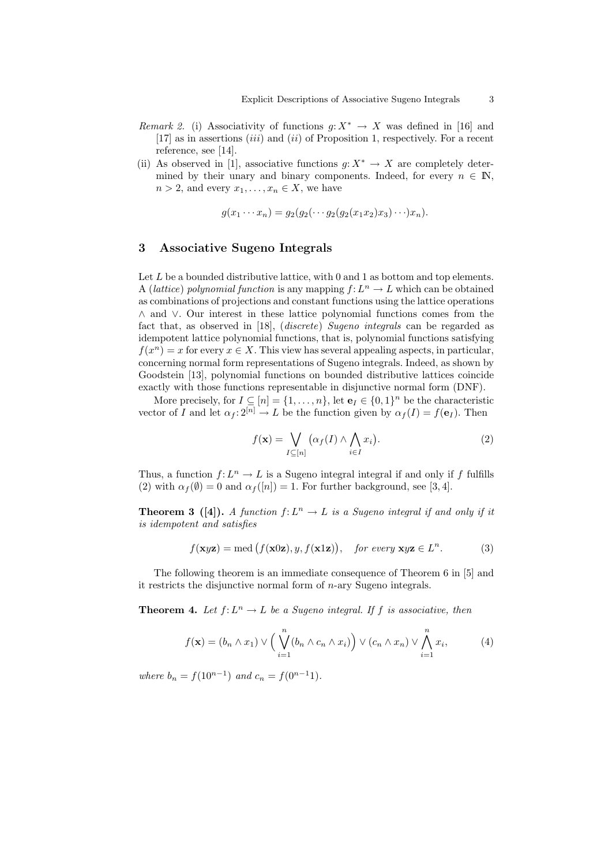- *Remark 2.* (i) Associativity of functions  $g: X^* \to X$  was defined in [16] and [17] as in assertions  $(iii)$  and  $(ii)$  of Proposition 1, respectively. For a recent reference, see [14].
- (ii) As observed in [1], associative functions  $g: X^* \to X$  are completely determined by their unary and binary components. Indeed, for every  $n \in \mathbb{N}$ ,  $n > 2$ , and every  $x_1, \ldots, x_n \in X$ , we have

$$
g(x_1\cdots x_n)=g_2(g_2(\cdots g_2(g_2(x_1x_2)x_3)\cdots)x_n).
$$

## 3 Associative Sugeno Integrals

Let  $L$  be a bounded distributive lattice, with 0 and 1 as bottom and top elements. A (lattice) polynomial function is any mapping  $f: L^n \to L$  which can be obtained as combinations of projections and constant functions using the lattice operations ∧ and ∨. Our interest in these lattice polynomial functions comes from the fact that, as observed in [18], (discrete) Sugeno integrals can be regarded as idempotent lattice polynomial functions, that is, polynomial functions satisfying  $f(x^n) = x$  for every  $x \in X$ . This view has several appealing aspects, in particular, concerning normal form representations of Sugeno integrals. Indeed, as shown by Goodstein [13], polynomial functions on bounded distributive lattices coincide exactly with those functions representable in disjunctive normal form (DNF).

More precisely, for  $I \subseteq [n] = \{1, \ldots, n\}$ , let  $\mathbf{e}_I \in \{0, 1\}^n$  be the characteristic vector of I and let  $\alpha_f : 2^{[n]} \to L$  be the function given by  $\alpha_f(I) = f(e_I)$ . Then

$$
f(\mathbf{x}) = \bigvee_{I \subseteq [n]} (\alpha_f(I) \land \bigwedge_{i \in I} x_i).
$$
 (2)

Thus, a function  $f: L^n \to L$  is a Sugeno integral integral if and only if f fulfills (2) with  $\alpha_f(\emptyset) = 0$  and  $\alpha_f([n]) = 1$ . For further background, see [3, 4].

**Theorem 3** ([4]). A function  $f: L^n \to L$  is a Sugeno integral if and only if it is idempotent and satisfies

$$
f(\mathbf{x}y\mathbf{z}) = \text{med}(f(\mathbf{x}0\mathbf{z}), y, f(\mathbf{x}1\mathbf{z})), \text{ for every } \mathbf{x}y\mathbf{z} \in L^n.
$$
 (3)

The following theorem is an immediate consequence of Theorem 6 in [5] and it restricts the disjunctive normal form of n-ary Sugeno integrals.

**Theorem 4.** Let  $f: L^n \to L$  be a Sugeno integral. If f is associative, then

$$
f(\mathbf{x}) = (b_n \wedge x_1) \vee \left(\bigvee_{i=1}^n (b_n \wedge c_n \wedge x_i)\right) \vee (c_n \wedge x_n) \vee \bigwedge_{i=1}^n x_i,
$$
 (4)

where  $b_n = f(10^{n-1})$  and  $c_n = f(0^{n-1}1)$ .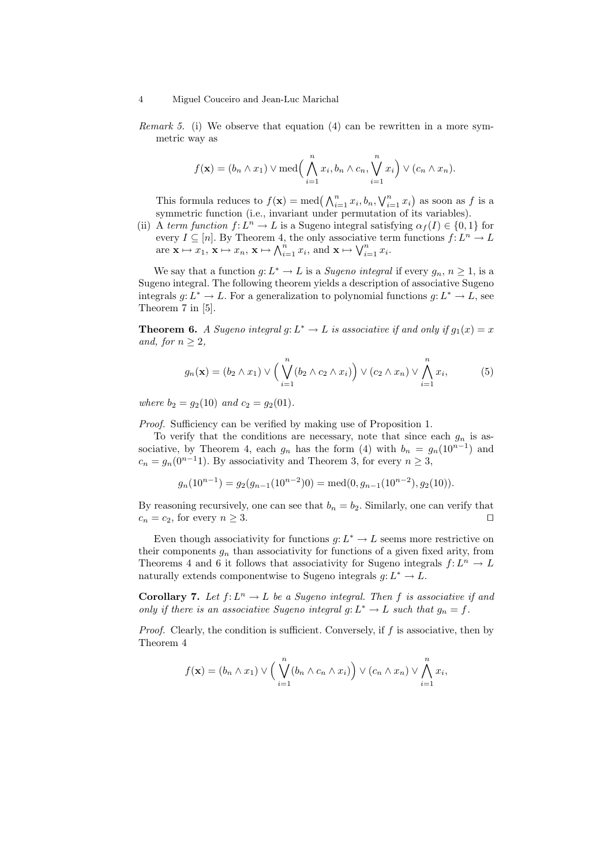#### 4 Miguel Couceiro and Jean-Luc Marichal

Remark 5. (i) We observe that equation (4) can be rewritten in a more symmetric way as

$$
f(\mathbf{x}) = (b_n \wedge x_1) \vee \text{med} \Big( \bigwedge_{i=1}^n x_i, b_n \wedge c_n, \bigvee_{i=1}^n x_i \Big) \vee (c_n \wedge x_n).
$$

This formula reduces to  $f(\mathbf{x}) = \text{med} \left( \bigwedge_{i=1}^{n} x_i, b_n, \bigvee_{i=1}^{n} x_i \right)$  as soon as f is a symmetric function (i.e., invariant under permutation of its variables).

(ii) A term function  $f: L^n \to L$  is a Sugeno integral satisfying  $\alpha_f(I) \in \{0,1\}$  for every  $I \subseteq [n]$ . By Theorem 4, the only associative term functions  $f: L^n \to L$ are  $\mathbf{x} \mapsto x_1, \mathbf{x} \mapsto x_n, \mathbf{x} \mapsto \bigwedge_{i=1}^n x_i, \text{ and } \mathbf{x} \mapsto \bigvee_{i=1}^n x_i.$ 

We say that a function  $g: L^* \to L$  is a *Sugeno integral* if every  $g_n, n \geq 1$ , is a Sugeno integral. The following theorem yields a description of associative Sugeno integrals  $g: L^* \to L$ . For a generalization to polynomial functions  $g: L^* \to L$ , see Theorem 7 in [5].

**Theorem 6.** A Sugeno integral g:  $L^* \to L$  is associative if and only if  $g_1(x) = x$ and, for  $n \geq 2$ ,

$$
g_n(\mathbf{x}) = (b_2 \wedge x_1) \vee \left(\bigvee_{i=1}^n (b_2 \wedge c_2 \wedge x_i)\right) \vee (c_2 \wedge x_n) \vee \bigwedge_{i=1}^n x_i,
$$
 (5)

where  $b_2 = g_2(10)$  and  $c_2 = g_2(01)$ .

Proof. Sufficiency can be verified by making use of Proposition 1.

To verify that the conditions are necessary, note that since each  $g_n$  is associative, by Theorem 4, each  $g_n$  has the form (4) with  $b_n = g_n(10^{n-1})$  and  $c_n = g_n(0^{n-1}1)$ . By associativity and Theorem 3, for every  $n \geq 3$ ,

$$
g_n(10^{n-1}) = g_2(g_{n-1}(10^{n-2})0) = \text{med}(0, g_{n-1}(10^{n-2}), g_2(10)).
$$

By reasoning recursively, one can see that  $b_n = b_2$ . Similarly, one can verify that  $c_n = c_2$ , for every  $n \geq 3$ .

Even though associativity for functions  $g: L^* \to L$  seems more restrictive on their components  $g_n$  than associativity for functions of a given fixed arity, from Theorems 4 and 6 it follows that associativity for Sugeno integrals  $f: L^n \to L$ naturally extends componentwise to Sugeno integrals  $g: L^* \to L$ .

**Corollary 7.** Let  $f: L^n \to L$  be a Sugeno integral. Then f is associative if and only if there is an associative Sugeno integral  $g: L^* \to L$  such that  $g_n = f$ .

*Proof.* Clearly, the condition is sufficient. Conversely, if  $f$  is associative, then by Theorem 4

$$
f(\mathbf{x}) = (b_n \wedge x_1) \vee \Big(\bigvee_{i=1}^n (b_n \wedge c_n \wedge x_i)\Big) \vee (c_n \wedge x_n) \vee \bigwedge_{i=1}^n x_i,
$$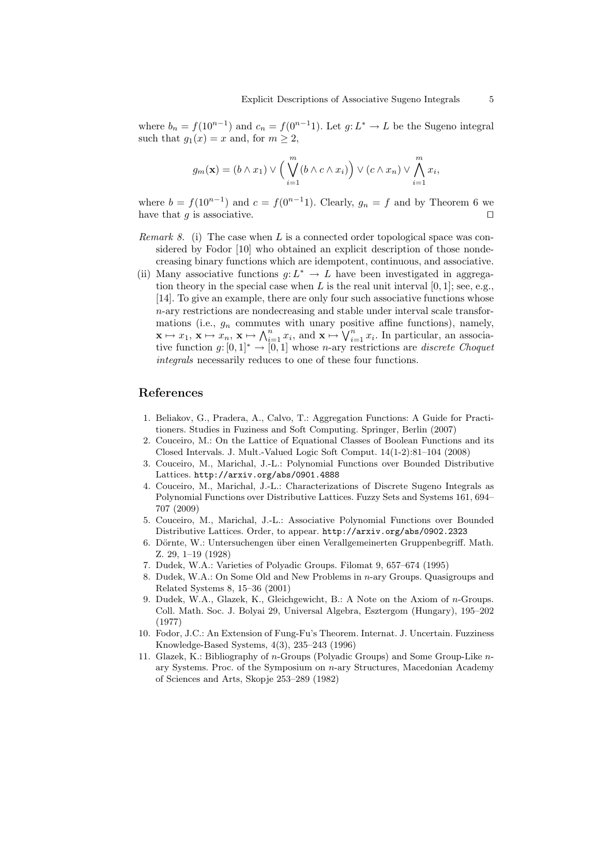where  $b_n = f(10^{n-1})$  and  $c_n = f(0^{n-1})$ . Let  $g: L^* \to L$  be the Sugeno integral such that  $g_1(x) = x$  and, for  $m \geq 2$ ,

$$
g_m(\mathbf{x}) = (b \wedge x_1) \vee \left( \bigvee_{i=1}^m (b \wedge c \wedge x_i) \right) \vee (c \wedge x_n) \vee \bigwedge_{i=1}^m x_i,
$$

where  $b = f(10^{n-1})$  and  $c = f(0^{n-1})$ . Clearly,  $g_n = f$  and by Theorem 6 we have that  $g$  is associative.

- *Remark 8.* (i) The case when L is a connected order topological space was considered by Fodor [10] who obtained an explicit description of those nondecreasing binary functions which are idempotent, continuous, and associative.
- (ii) Many associative functions  $g: L^* \to L$  have been investigated in aggregation theory in the special case when  $L$  is the real unit interval  $[0, 1]$ ; see, e.g., [14]. To give an example, there are only four such associative functions whose n-ary restrictions are nondecreasing and stable under interval scale transformations (i.e.,  $g_n$  commutes with unary positive affine functions), namely,  $\mathbf{x} \mapsto x_1, \, \mathbf{x} \mapsto x_n, \, \mathbf{x} \mapsto \bigwedge_{i=1}^n x_i, \, \text{and } \mathbf{x} \mapsto \bigvee_{i=1}^n x_i.$  In particular, an associative function g:  $[0,1]^* \rightarrow [0,1]$  whose n-ary restrictions are discrete Choquet integrals necessarily reduces to one of these four functions.

### References

- 1. Beliakov, G., Pradera, A., Calvo, T.: Aggregation Functions: A Guide for Practitioners. Studies in Fuziness and Soft Computing. Springer, Berlin (2007)
- 2. Couceiro, M.: On the Lattice of Equational Classes of Boolean Functions and its Closed Intervals. J. Mult.-Valued Logic Soft Comput. 14(1-2):81–104 (2008)
- 3. Couceiro, M., Marichal, J.-L.: Polynomial Functions over Bounded Distributive Lattices. http://arxiv.org/abs/0901.4888
- 4. Couceiro, M., Marichal, J.-L.: Characterizations of Discrete Sugeno Integrals as Polynomial Functions over Distributive Lattices. Fuzzy Sets and Systems 161, 694– 707 (2009)
- 5. Couceiro, M., Marichal, J.-L.: Associative Polynomial Functions over Bounded Distributive Lattices. Order, to appear. http://arxiv.org/abs/0902.2323
- 6. Dörnte, W.: Untersuchengen über einen Verallgemeinerten Gruppenbegriff. Math. Z. 29, 1–19 (1928)
- 7. Dudek, W.A.: Varieties of Polyadic Groups. Filomat 9, 657–674 (1995)
- 8. Dudek, W.A.: On Some Old and New Problems in  $n$ -ary Groups. Quasigroups and Related Systems 8, 15–36 (2001)
- 9. Dudek, W.A., Glazek, K., Gleichgewicht, B.: A Note on the Axiom of n-Groups. Coll. Math. Soc. J. Bolyai 29, Universal Algebra, Esztergom (Hungary), 195–202 (1977)
- 10. Fodor, J.C.: An Extension of Fung-Fu's Theorem. Internat. J. Uncertain. Fuzziness Knowledge-Based Systems, 4(3), 235–243 (1996)
- 11. Glazek, K.: Bibliography of n-Groups (Polyadic Groups) and Some Group-Like nary Systems. Proc. of the Symposium on n-ary Structures, Macedonian Academy of Sciences and Arts, Skopje 253–289 (1982)